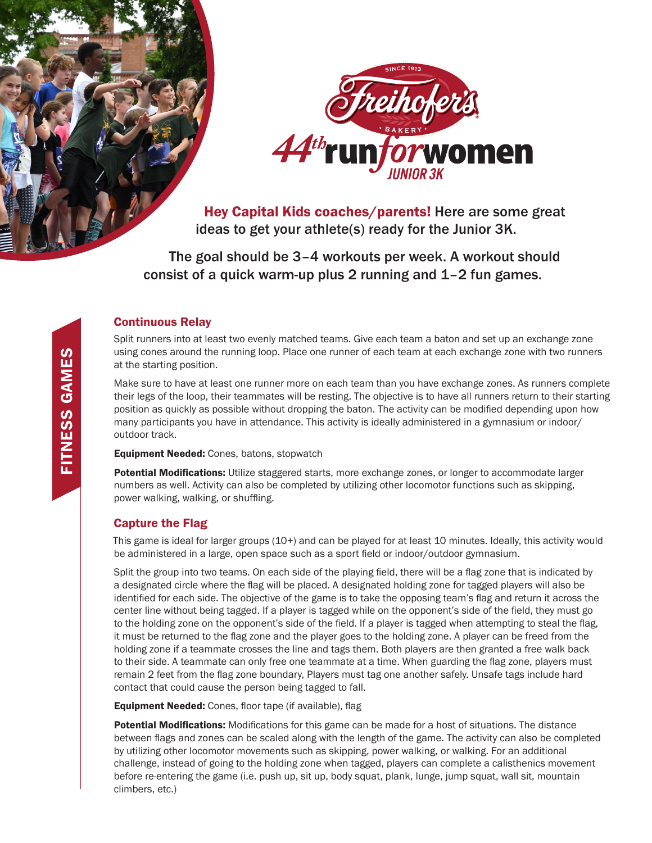



Hey Capital Kids coaches/parents! Here are some great ideas to get your athlete(s) ready for the Junior 3K.

The goal should be 3–4 workouts per week. A workout should consist of a quick warm-up plus 2 running and 1–2 fun games.

### Continuous Relay

Split runners into at least two evenly matched teams. Give each team a baton and set up an exchange zone using cones around the running loop. Place one runner of each team at each exchange zone with two runners at the starting position.

Make sure to have at least one runner more on each team than you have exchange zones. As runners complete their legs of the loop, their teammates will be resting. The objective is to have all runners return to their starting position as quickly as possible without dropping the baton. The activity can be modified depending upon how many participants you have in attendance. This activity is ideally administered in a gymnasium or indoor/ outdoor track.

**Equipment Needed:** Cones, batons, stopwatch

Potential Modifications: Utilize staggered starts, more exchange zones, or longer to accommodate larger numbers as well. Activity can also be completed by utilizing other locomotor functions such as skipping, power walking, walking, or shuffling.

## Capture the Flag

This game is ideal for larger groups (10+) and can be played for at least 10 minutes. Ideally, this activity would be administered in a large, open space such as a sport field or indoor/outdoor gymnasium.

Split the group into two teams. On each side of the playing field, there will be a flag zone that is indicated by a designated circle where the flag will be placed. A designated holding zone for tagged players will also be identified for each side. The objective of the game is to take the opposing team's flag and return it across the center line without being tagged. If a player is tagged while on the opponent's side of the field, they must go to the holding zone on the opponent's side of the field. If a player is tagged when attempting to steal the flag, it must be returned to the flag zone and the player goes to the holding zone. A player can be freed from the holding zone if a teammate crosses the line and tags them. Both players are then granted a free walk back to their side. A teammate can only free one teammate at a time. When guarding the flag zone, players must remain 2 feet from the flag zone boundary, Players must tag one another safely. Unsafe tags include hard contact that could cause the person being tagged to fall.

Equipment Needed: Cones, floor tape (if available), flag

Potential Modifications: Modifications for this game can be made for a host of situations. The distance between flags and zones can be scaled along with the length of the game. The activity can also be completed by utilizing other locomotor movements such as skipping, power walking, or walking. For an additional challenge, instead of going to the holding zone when tagged, players can complete a calisthenics movement before re-entering the game (i.e. push up, sit up, body squat, plank, lunge, jump squat, wall sit, mountain climbers, etc.)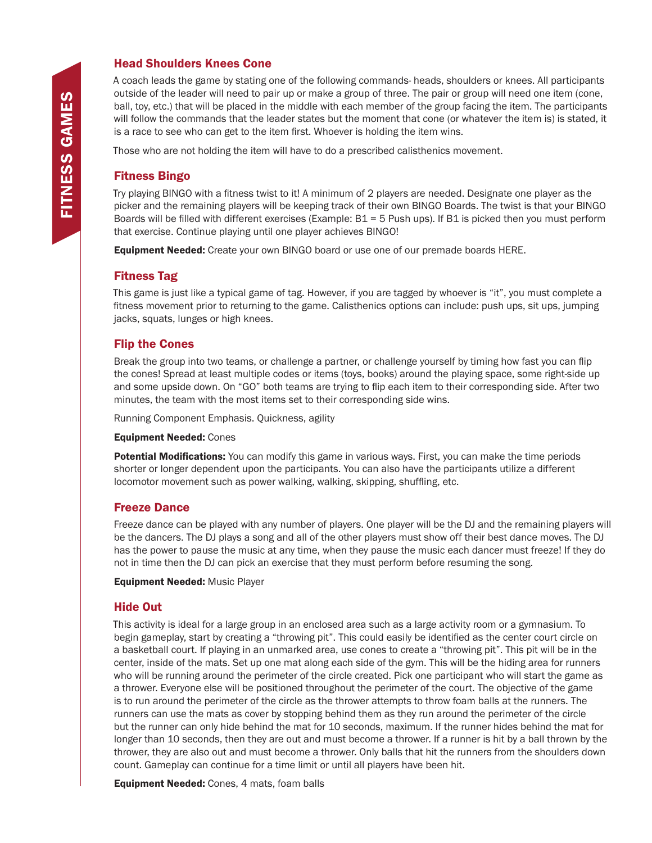## Head Shoulders Knees Cone

A coach leads the game by stating one of the following commands- heads, shoulders or knees. All participants outside of the leader will need to pair up or make a group of three. The pair or group will need one item (cone, ball, toy, etc.) that will be placed in the middle with each member of the group facing the item. The participants will follow the commands that the leader states but the moment that cone (or whatever the item is) is stated, it is a race to see who can get to the item first. Whoever is holding the item wins.

Those who are not holding the item will have to do a prescribed calisthenics movement.

# Fitness Bingo

Try playing BINGO with a fitness twist to it! A minimum of 2 players are needed. Designate one player as the picker and the remaining players will be keeping track of their own BINGO Boards. The twist is that your BINGO Boards will be filled with different exercises (Example: B1 = 5 Push ups). If B1 is picked then you must perform that exercise. Continue playing until one player achieves BINGO!

**Equipment Needed:** Create your own BINGO board or use one of our premade boards HERE.

## Fitness Tag

This game is just like a typical game of tag. However, if you are tagged by whoever is "it", you must complete a fitness movement prior to returning to the game. Calisthenics options can include: push ups, sit ups, jumping jacks, squats, lunges or high knees.

### Flip the Cones

Break the group into two teams, or challenge a partner, or challenge yourself by timing how fast you can flip the cones! Spread at least multiple codes or items (toys, books) around the playing space, some right-side up and some upside down. On "GO" both teams are trying to flip each item to their corresponding side. After two minutes, the team with the most items set to their corresponding side wins.

Running Component Emphasis. Quickness, agility

#### Equipment Needed: Cones

Potential Modifications: You can modify this game in various ways. First, you can make the time periods shorter or longer dependent upon the participants. You can also have the participants utilize a different locomotor movement such as power walking, walking, skipping, shuffling, etc.

### Freeze Dance

Freeze dance can be played with any number of players. One player will be the DJ and the remaining players will be the dancers. The DJ plays a song and all of the other players must show off their best dance moves. The DJ has the power to pause the music at any time, when they pause the music each dancer must freeze! If they do not in time then the DJ can pick an exercise that they must perform before resuming the song.

#### Equipment Needed: Music Player

### Hide Out

This activity is ideal for a large group in an enclosed area such as a large activity room or a gymnasium. To begin gameplay, start by creating a "throwing pit". This could easily be identified as the center court circle on a basketball court. If playing in an unmarked area, use cones to create a "throwing pit". This pit will be in the center, inside of the mats. Set up one mat along each side of the gym. This will be the hiding area for runners who will be running around the perimeter of the circle created. Pick one participant who will start the game as a thrower. Everyone else will be positioned throughout the perimeter of the court. The objective of the game is to run around the perimeter of the circle as the thrower attempts to throw foam balls at the runners. The runners can use the mats as cover by stopping behind them as they run around the perimeter of the circle but the runner can only hide behind the mat for 10 seconds, maximum. If the runner hides behind the mat for longer than 10 seconds, then they are out and must become a thrower. If a runner is hit by a ball thrown by the thrower, they are also out and must become a thrower. Only balls that hit the runners from the shoulders down count. Gameplay can continue for a time limit or until all players have been hit.

Equipment Needed: Cones, 4 mats, foam balls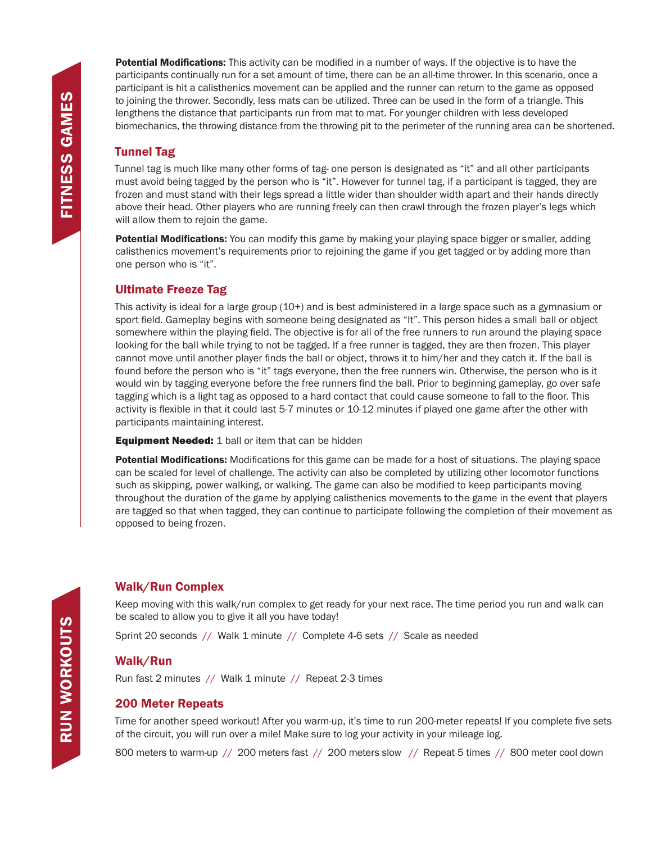**Potential Modifications:** This activity can be modified in a number of ways. If the objective is to have the participants continually run for a set amount of time, there can be an all-time thrower. In this scenario, once a participant is hit a calisthenics movement can be applied and the runner can return to the game as opposed to joining the thrower. Secondly, less mats can be utilized. Three can be used in the form of a triangle. This lengthens the distance that participants run from mat to mat. For younger children with less developed biomechanics, the throwing distance from the throwing pit to the perimeter of the running area can be shortened.

# Tunnel Tag

Tunnel tag is much like many other forms of tag- one person is designated as "it" and all other participants must avoid being tagged by the person who is "it". However for tunnel tag, if a participant is tagged, they are frozen and must stand with their legs spread a little wider than shoulder width apart and their hands directly above their head. Other players who are running freely can then crawl through the frozen player's legs which will allow them to rejoin the game.

Potential Modifications: You can modify this game by making your playing space bigger or smaller, adding calisthenics movement's requirements prior to rejoining the game if you get tagged or by adding more than one person who is "it".

# Ultimate Freeze Tag

This activity is ideal for a large group (10+) and is best administered in a large space such as a gymnasium or sport field. Gameplay begins with someone being designated as "It". This person hides a small ball or object somewhere within the playing field. The objective is for all of the free runners to run around the playing space looking for the ball while trying to not be tagged. If a free runner is tagged, they are then frozen. This player cannot move until another player finds the ball or object, throws it to him/her and they catch it. If the ball is found before the person who is "it" tags everyone, then the free runners win. Otherwise, the person who is it would win by tagging everyone before the free runners find the ball. Prior to beginning gameplay, go over safe tagging which is a light tag as opposed to a hard contact that could cause someone to fall to the floor. This activity is flexible in that it could last 5-7 minutes or 10-12 minutes if played one game after the other with participants maintaining interest.

**Equipment Needed:** 1 ball or item that can be hidden

Potential Modifications: Modifications for this game can be made for a host of situations. The playing space can be scaled for level of challenge. The activity can also be completed by utilizing other locomotor functions such as skipping, power walking, or walking. The game can also be modified to keep participants moving throughout the duration of the game by applying calisthenics movements to the game in the event that players are tagged so that when tagged, they can continue to participate following the completion of their movement as opposed to being frozen.

# Walk/Run Complex

Keep moving with this walk/run complex to get ready for your next race. The time period you run and walk can be scaled to allow you to give it all you have today!

Sprint 20 seconds // Walk 1 minute // Complete 4-6 sets // Scale as needed

## Walk/Run

Run fast 2 minutes // Walk 1 minute // Repeat 2-3 times

## 200 Meter Repeats

Time for another speed workout! After you warm-up, it's time to run 200-meter repeats! If you complete five sets of the circuit, you will run over a mile! Make sure to log your activity in your mileage log.

800 meters to warm-up // 200 meters fast // 200 meters slow // Repeat 5 times // 800 meter cool down